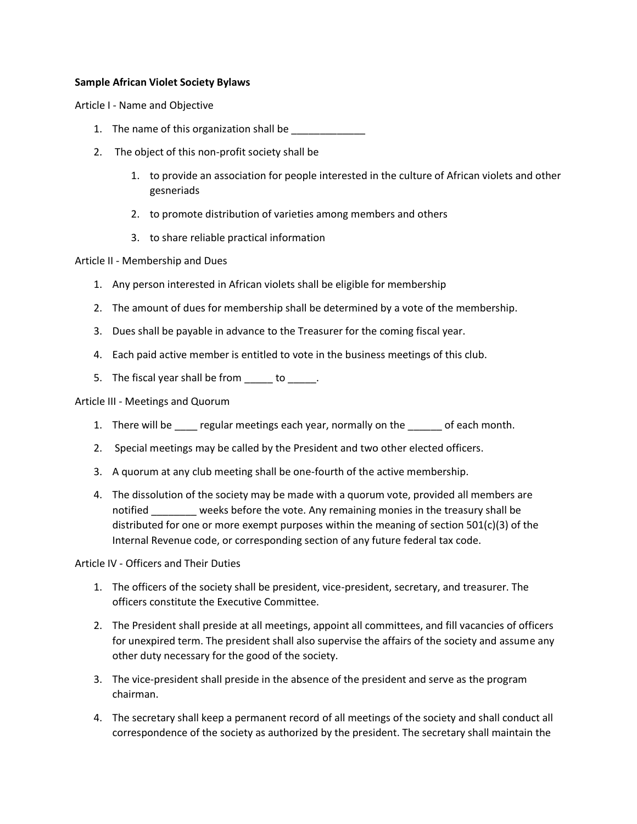## **Sample African Violet Society Bylaws**

Article I - Name and Objective

- 1. The name of this organization shall be
- 2. The object of this non-profit society shall be
	- 1. to provide an association for people interested in the culture of African violets and other gesneriads
	- 2. to promote distribution of varieties among members and others
	- 3. to share reliable practical information

## Article II - Membership and Dues

- 1. Any person interested in African violets shall be eligible for membership
- 2. The amount of dues for membership shall be determined by a vote of the membership.
- 3. Dues shall be payable in advance to the Treasurer for the coming fiscal year.
- 4. Each paid active member is entitled to vote in the business meetings of this club.
- 5. The fiscal year shall be from to to the state of the state of the state of the state of the state of the state of the state of the state of the state of the state of the state of the state of the state of the state of t

Article III - Meetings and Quorum

- 1. There will be regular meetings each year, normally on the of each month.
- 2. Special meetings may be called by the President and two other elected officers.
- 3. A quorum at any club meeting shall be one-fourth of the active membership.
- 4. The dissolution of the society may be made with a quorum vote, provided all members are notified weeks before the vote. Any remaining monies in the treasury shall be distributed for one or more exempt purposes within the meaning of section 501(c)(3) of the Internal Revenue code, or corresponding section of any future federal tax code.

Article IV - Officers and Their Duties

- 1. The officers of the society shall be president, vice-president, secretary, and treasurer. The officers constitute the Executive Committee.
- 2. The President shall preside at all meetings, appoint all committees, and fill vacancies of officers for unexpired term. The president shall also supervise the affairs of the society and assume any other duty necessary for the good of the society.
- 3. The vice-president shall preside in the absence of the president and serve as the program chairman.
- 4. The secretary shall keep a permanent record of all meetings of the society and shall conduct all correspondence of the society as authorized by the president. The secretary shall maintain the